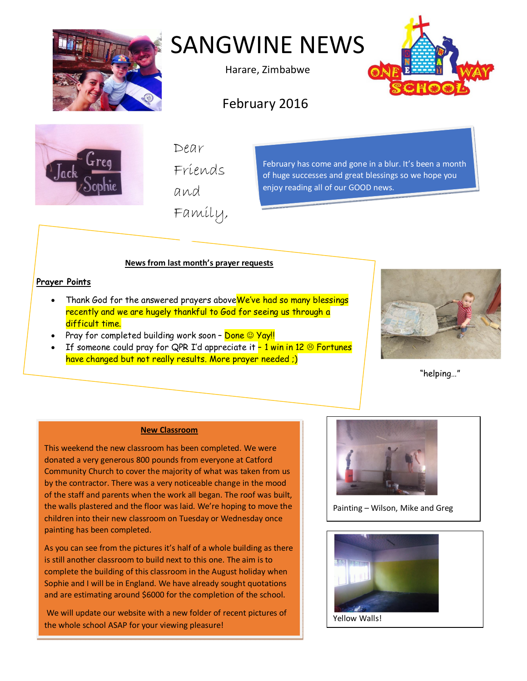

# SANGWINE NEWS

Harare, Zimbabwe



# February 2016



Dear

Friends

and

Family,

February has come and gone in a blur. It's been a month of huge successes and great blessings so we hope you enjoy reading all of our GOOD news.

# **News from last month's prayer requests**

### **Prayer Points**

- Thank God for the answered prayers above We've had so many blessings recently and we are hugely thankful to God for seeing us through a difficult time.
- Pray for completed building work soon <mark>Done © Yay!!</mark>
- If someone could pray for QPR I'd appreciate it  $-1$  win in 12  $\circledcirc$  Fortunes have changed but not really results. More prayer needed ;)



"helping…"

#### **New Classroom**

This weekend the new classroom has been completed. We were donated a very generous 800 pounds from everyone at Catford Community Church to cover the majority of what was taken from us by the contractor. There was a very noticeable change in the mood of the staff and parents when the work all began. The roof was built, the walls plastered and the floor was laid. We're hoping to move the children into their new classroom on Tuesday or Wednesday once painting has been completed.

As you can see from the pictures it's half of a whole building as there is still another classroom to build next to this one. The aim is to complete the building of this classroom in the August holiday when Sophie and I will be in England. We have already sought quotations and are estimating around \$6000 for the completion of the school.

We will update our website with a new folder of recent pictures of the whole school ASAP for your viewing pleasure!



Painting – Wilson, Mike and Greg